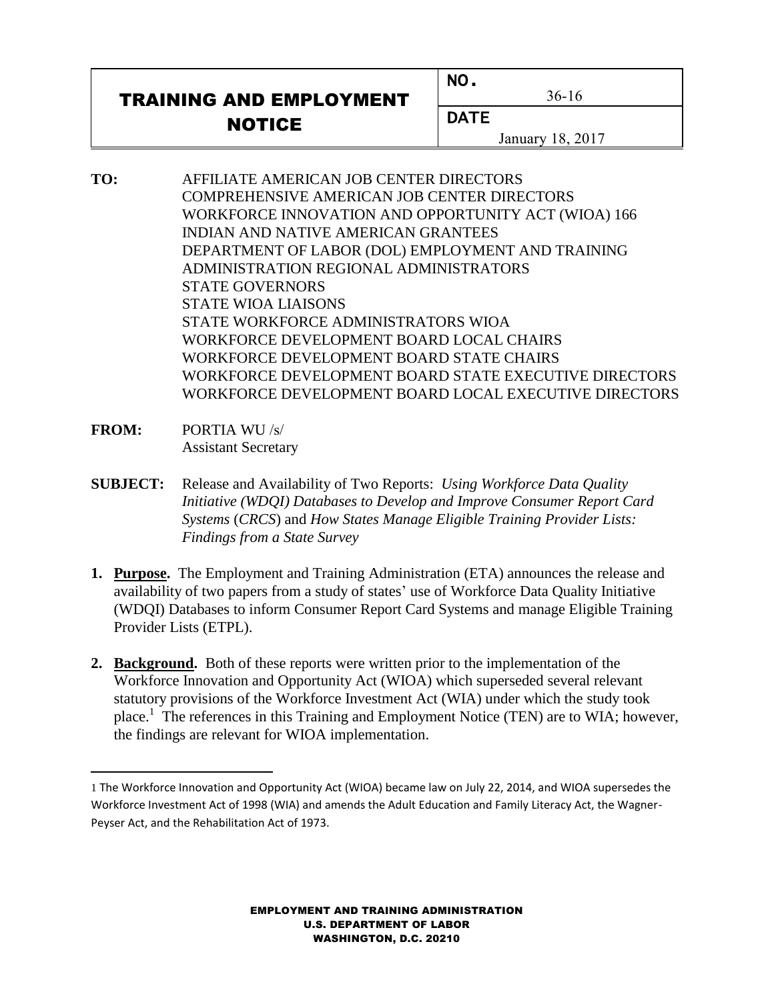## TRAINING AND EMPLOYMENT NOTICE

36-16

NO.

**DATE** 

January 18, 2017

- **TO:** AFFILIATE AMERICAN JOB CENTER DIRECTORS COMPREHENSIVE AMERICAN JOB CENTER DIRECTORS WORKFORCE INNOVATION AND OPPORTUNITY ACT (WIOA) 166 INDIAN AND NATIVE AMERICAN GRANTEES DEPARTMENT OF LABOR (DOL) EMPLOYMENT AND TRAINING ADMINISTRATION REGIONAL ADMINISTRATORS STATE GOVERNORS STATE WIOA LIAISONS STATE WORKFORCE ADMINISTRATORS WIOA WORKFORCE DEVELOPMENT BOARD LOCAL CHAIRS WORKFORCE DEVELOPMENT BOARD STATE CHAIRS WORKFORCE DEVELOPMENT BOARD STATE EXECUTIVE DIRECTORS WORKFORCE DEVELOPMENT BOARD LOCAL EXECUTIVE DIRECTORS
- **FROM:** PORTIA WU /s/ Assistant Secretary
- **SUBJECT:** Release and Availability of Two Reports: *Using Workforce Data Quality Initiative (WDQI) Databases to Develop and Improve Consumer Report Card Systems* (*CRCS*) and *How States Manage Eligible Training Provider Lists: Findings from a State Survey*
- **1. Purpose.** The Employment and Training Administration (ETA) announces the release and availability of two papers from a study of states' use of Workforce Data Quality Initiative (WDQI) Databases to inform Consumer Report Card Systems and manage Eligible Training Provider Lists (ETPL).
- **2. Background.** Both of these reports were written prior to the implementation of the Workforce Innovation and Opportunity Act (WIOA) which superseded several relevant statutory provisions of the Workforce Investment Act (WIA) under which the study took place.<sup>1</sup> The references in this Training and Employment Notice (TEN) are to WIA; however, the findings are relevant for WIOA implementation.

EMPLOYMENT AND TRAINING ADMINISTRATION U.S. DEPARTMENT OF LABOR WASHINGTON, D.C. 20210

<sup>1</sup> The Workforce Innovation and Opportunity Act (WIOA) became law on July 22, 2014, and WIOA supersedes the Workforce Investment Act of 1998 (WIA) and amends the Adult Education and Family Literacy Act, the Wagner-Peyser Act, and the Rehabilitation Act of 1973.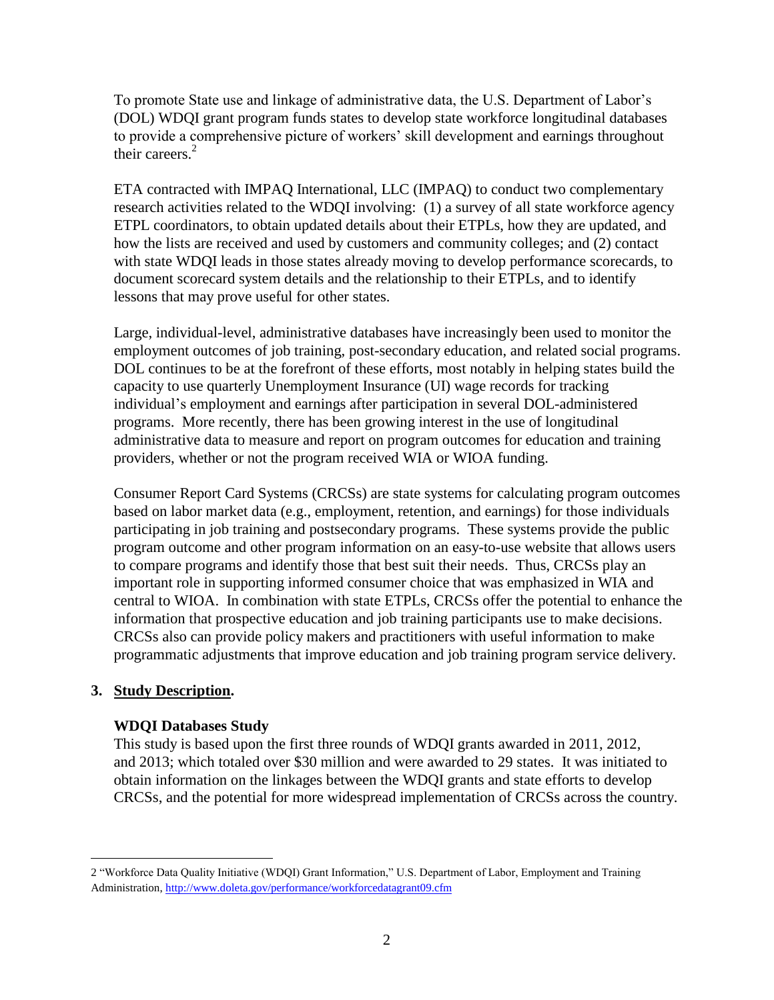To promote State use and linkage of administrative data, the U.S. Department of Labor's (DOL) WDQI grant program funds states to develop state workforce longitudinal databases to provide a comprehensive picture of workers' skill development and earnings throughout their careers. 2

ETA contracted with IMPAQ International, LLC (IMPAQ) to conduct two complementary research activities related to the WDQI involving: (1) a survey of all state workforce agency ETPL coordinators, to obtain updated details about their ETPLs, how they are updated, and how the lists are received and used by customers and community colleges; and (2) contact with state WDQI leads in those states already moving to develop performance scorecards, to document scorecard system details and the relationship to their ETPLs, and to identify lessons that may prove useful for other states.

Large, individual-level, administrative databases have increasingly been used to monitor the employment outcomes of job training, post-secondary education, and related social programs. DOL continues to be at the forefront of these efforts, most notably in helping states build the capacity to use quarterly Unemployment Insurance (UI) wage records for tracking individual's employment and earnings after participation in several DOL-administered programs. More recently, there has been growing interest in the use of longitudinal administrative data to measure and report on program outcomes for education and training providers, whether or not the program received WIA or WIOA funding.

Consumer Report Card Systems (CRCSs) are state systems for calculating program outcomes based on labor market data (e.g., employment, retention, and earnings) for those individuals participating in job training and postsecondary programs. These systems provide the public program outcome and other program information on an easy-to-use website that allows users to compare programs and identify those that best suit their needs. Thus, CRCSs play an important role in supporting informed consumer choice that was emphasized in WIA and central to WIOA. In combination with state ETPLs, CRCSs offer the potential to enhance the information that prospective education and job training participants use to make decisions. CRCSs also can provide policy makers and practitioners with useful information to make programmatic adjustments that improve education and job training program service delivery.

## **3. Study Description.**

i<br>L

## **WDQI Databases Study**

This study is based upon the first three rounds of WDQI grants awarded in 2011, 2012, and 2013; which totaled over \$30 million and were awarded to 29 states. It was initiated to obtain information on the linkages between the WDQI grants and state efforts to develop CRCSs, and the potential for more widespread implementation of CRCSs across the country.

<sup>2</sup> "Workforce Data Quality Initiative (WDQI) Grant Information," U.S. Department of Labor, Employment and Training Administration,<http://www.doleta.gov/performance/workforcedatagrant09.cfm>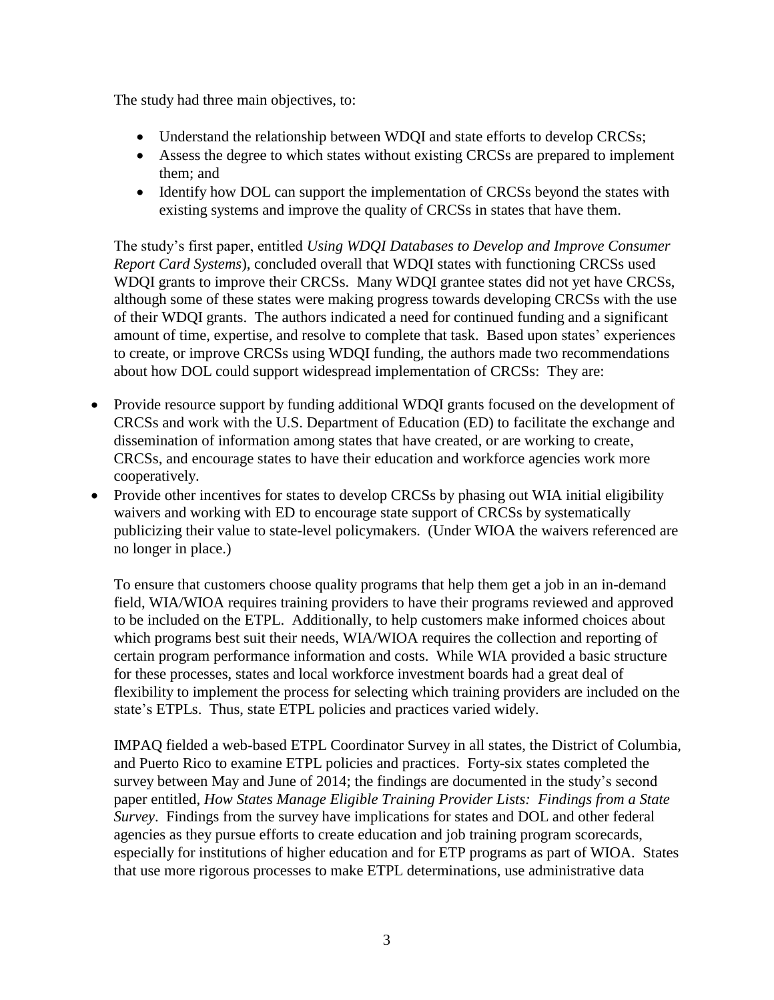The study had three main objectives, to:

- Understand the relationship between WDQI and state efforts to develop CRCSs;
- Assess the degree to which states without existing CRCSs are prepared to implement them; and
- Identify how DOL can support the implementation of CRCSs beyond the states with existing systems and improve the quality of CRCSs in states that have them.

The study's first paper, entitled *Using WDQI Databases to Develop and Improve Consumer Report Card Systems*), concluded overall that WDQI states with functioning CRCSs used WDQI grants to improve their CRCSs. Many WDQI grantee states did not yet have CRCSs, although some of these states were making progress towards developing CRCSs with the use of their WDQI grants. The authors indicated a need for continued funding and a significant amount of time, expertise, and resolve to complete that task. Based upon states' experiences to create, or improve CRCSs using WDQI funding, the authors made two recommendations about how DOL could support widespread implementation of CRCSs: They are:

- Provide resource support by funding additional WDQI grants focused on the development of CRCSs and work with the U.S. Department of Education (ED) to facilitate the exchange and dissemination of information among states that have created, or are working to create, CRCSs, and encourage states to have their education and workforce agencies work more cooperatively.
- Provide other incentives for states to develop CRCSs by phasing out WIA initial eligibility waivers and working with ED to encourage state support of CRCSs by systematically publicizing their value to state-level policymakers. (Under WIOA the waivers referenced are no longer in place.)

To ensure that customers choose quality programs that help them get a job in an in-demand field, WIA/WIOA requires training providers to have their programs reviewed and approved to be included on the ETPL. Additionally, to help customers make informed choices about which programs best suit their needs, WIA/WIOA requires the collection and reporting of certain program performance information and costs. While WIA provided a basic structure for these processes, states and local workforce investment boards had a great deal of flexibility to implement the process for selecting which training providers are included on the state's ETPLs. Thus, state ETPL policies and practices varied widely.

IMPAQ fielded a web-based ETPL Coordinator Survey in all states, the District of Columbia, and Puerto Rico to examine ETPL policies and practices. Forty-six states completed the survey between May and June of 2014; the findings are documented in the study's second paper entitled, *How States Manage Eligible Training Provider Lists: Findings from a State Survey*. Findings from the survey have implications for states and DOL and other federal agencies as they pursue efforts to create education and job training program scorecards, especially for institutions of higher education and for ETP programs as part of WIOA. States that use more rigorous processes to make ETPL determinations, use administrative data